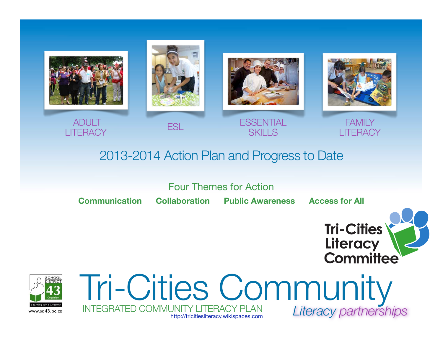

# 2013-2014 Action Plan and Progress to Date

Four Themes for Action

**Communication Collaboration Public Awareness Access for All**





Tri-Cities Community *Literacy partnerships* www.sd43.bc.cg INTEGRATED COMMUNITY LITERACY PLAN <http://tricitiesliteracy.wikispaces.com>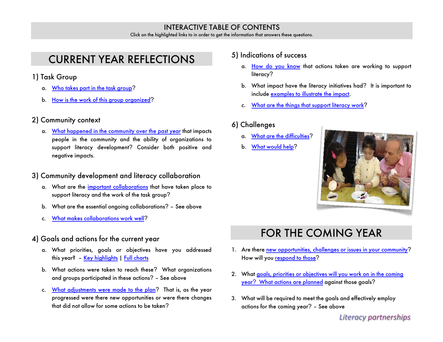#### INTERACTIVE TABLE OF CONTENTS

Click on the highlighted links to in order to get the information that answers these questions.

# <span id="page-1-0"></span>CURRENT YEAR REFLECTIONS

- 1) Task Group
	- a. [Who takes part in the task group](#page-14-0)?
	- b. [How is the work of this group organized](#page-2-0)?

### 2) Community context

a. [What happened in the community over the past year](#page-11-0) that impacts people in the community and the ability of organizations to support literacy development? Consider both positive and negative impacts.

### 3) Community development and literacy collaboration

- a. What are the [important collaborations](#page-3-0) that have taken place to support literacy and the work of the task group?
- b. What are the essential ongoing collaborations? See above
- c. [What makes collaborations work well](#page-4-0)?

### 4) Goals and actions for the current year

- a. What priorities, goals or objectives have you addressed this year? – [Key highlights](#page-5-0) | [Full charts](#page-7-0)
- b. What actions were taken to reach these? What organizations and groups participated in these actions? – See above
- c. [What adjustments were made to the plan](#page-12-0)? That is, as the year progressed were there new opportunities or were there changes that did not allow for some actions to be taken?

#### 5) Indications of success

- a. [How do you know](#page-13-0) that actions taken are working to support literacy?
- b. What impact have the literacy initiatives had? It is important to include [examples to illustrate the impact.](#page-5-0)
- c. [What are the things that support literacy work](#page-3-1)?

### 6) Challenges

- a. [What are the difficulties](#page-4-1)?
- b. [What would help](#page-12-1)?



# FOR THE COMING YEAR

- 1. Are there [new opportunities, challenges or issues in your community](#page-11-0)? How will yo[u respond to those](#page-12-0)?
- 2. What goals, priorities or objectives will you work on in the coming year? [What actions are planned](#page-12-0) against those goals?
- 3. What will be required to meet the goals and effectively employ actions for the coming year? – See above

*Literacy partnerships*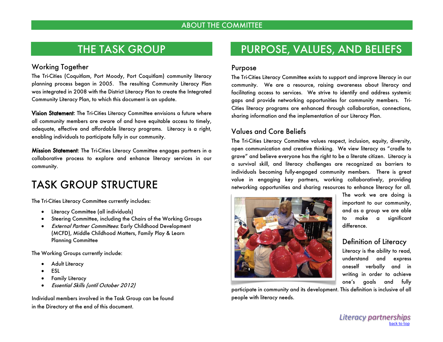### THE TASK GROUP

#### Working Together

The Tri-Cities (Coquitlam, Port Moody, Port Coquitlam) community literacy planning process began in 2005. The resulting Community Literacy Plan was integrated in 2008 with the District Literacy Plan to create the Integrated Community Literacy Plan, to which this document is an update.

Vision Statement: The Tri-Cities Literacy Committee envisions a future where all community members are aware of and have equitable access to timely, adequate, effective and affordable literacy programs. Literacy is a right, enabling individuals to participate fully in our community.

Mission Statement: The Tri-Cities Literacy Committee engages partners in a collaborative process to explore and enhance literacy services in our community.

# <span id="page-2-0"></span>TASK GROUP STRUCTURE

The Tri-Cities Literacy Committee currently includes:

- Literacy Committee (all individuals)
- Steering Committee, including the Chairs of the Working Groups
- External Partner Committees: Early Childhood Development (MCFD), Middle Childhood Matters, Family Play & Learn Planning Committee

The Working Groups currently include:

- Adult Literacy
- ESL
- Family Literacy
- Essential Skills (until October 2012)

Individual members involved in the Task Group can be found in the Directory at the end of this document.

# PURPOSE, VALUES, AND BELIEFS

#### Purpose

The Tri-Cities Literacy Committee exists to support and improve literacy in our community. We are a resource, raising awareness about literacy and facilitating access to services. We strive to identify and address systemic gaps and provide networking opportunities for community members. Tri-Cities literacy programs are enhanced through collaboration, connections, sharing information and the implementation of our Literacy Plan.

### Values and Core Beliefs

The Tri-Cities Literacy Committee values respect, inclusion, equity, diversity, open communication and creative thinking. We view literacy as "cradle to grave" and believe everyone has the right to be a literate citizen. Literacy is a survival skill, and literacy challenges are recognized as barriers to individuals becoming fully-engaged community members. There is great value in engaging key partners, working collaboratively, providing networking opportunities and sharing resources to enhance literacy for all.



participate in community and its development. This definition is inclusive of all people with literacy needs.

The work we are doing is important to our community, and as a group we are able to make a significant difference.

### Definition of Literacy

Literacy is the ability to read, understand and express oneself verbally and in writing in order to achieve one's goals and fully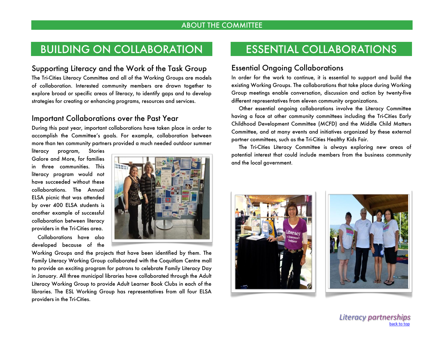# <span id="page-3-0"></span>BUILDING ON COLLABORATION

#### <span id="page-3-1"></span>Supporting Literacy and the Work of the Task Group

The Tri-Cities Literacy Committee and all of the Working Groups are models of collaboration. Interested community members are drawn together to explore broad or specific areas of literacy, to identify gaps and to develop strategies for creating or enhancing programs, resources and services.

### Important Collaborations over the Past Year

During this past year, important collaborations have taken place in order to accomplish the Committee's goals. For example, collaboration between more than ten community partners provided a much needed outdoor summer

literacy program, Stories Galore and More, for families in three communities. This literacy program would not have succeeded without these collaborations. The Annual ELSA picnic that was attended by over 400 ELSA students is another example of successful collaboration between literacy providers in the Tri-Cities area.

 Collaborations have also developed because of the



Working Groups and the projects that have been identified by them. The Family Literacy Working Group collaborated with the Coquitlam Centre mall to provide an exciting program for patrons to celebrate Family Literacy Day in January. All three municipal libraries have collaborated through the Adult Literacy Working Group to provide Adult Learner Book Clubs in each of the libraries. The ESL Working Group has representatives from all four ELSA providers in the Tri-Cities.

# ESSENTIAL COLLABORATIONS

### Essential Ongoing Collaborations

In order for the work to continue, it is essential to support and build the existing Working Groups. The collaborations that take place during Working Group meetings enable conversation, discussion and action by twenty-five different representatives from eleven community organizations.

 Other essential ongoing collaborations involve the Literacy Committee having a face at other community committees including the Tri-Cities Early Childhood Development Committee (MCFD) and the Middle Child Matters Committee, and at many events and initiatives organized by these external partner committees, such as the Tri-Cities Healthy Kids Fair.

 The Tri-Cities Literacy Committee is always exploring new areas of potential interest that could include members from the business community and the local government.



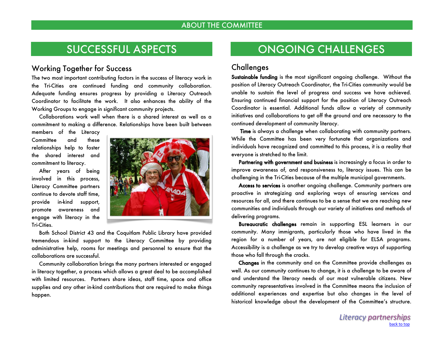## SUCCESSFUL ASPECTS

#### <span id="page-4-0"></span>Working Together for Success

The two most important contributing factors in the success of literacy work in the Tri-Cities are continued funding and community collaboration. Adequate funding ensures progress by providing a Literacy Outreach Coordinator to facilitate the work. It also enhances the ability of the Working Groups to engage in significant community projects.

 Collaborations work well when there is a shared interest as well as a commitment to making a difference. Relationships have been built between

members of the Literacy Committee and these relationships help to foster the shared interest and commitment to literacy.

 After years of being involved in this process, Literacy Committee partners continue to devote staff time, provide in-kind support, promote awareness and engage with literacy in the Tri-Cities.



 Both School District 43 and the Coquitlam Public Library have provided tremendous in-kind support to the Literacy Committee by providing administrative help, rooms for meetings and personnel to ensure that the collaborations are successful.

 Community collaboration brings the many partners interested or engaged in literacy together, a process which allows a great deal to be accomplished with limited resources. Partners share ideas, staff time, space and office supplies and any other in-kind contributions that are required to make things happen.

# ONGOING CHALLENGES

### <span id="page-4-1"></span>**Challenges**

Sustainable funding is the most significant ongoing challenge. Without the position of Literacy Outreach Coordinator, the Tri-Cities community would be unable to sustain the level of progress and success we have achieved. Ensuring continued financial support for the position of Literacy Outreach Coordinator is essential. Additional funds allow a variety of community initiatives and collaborations to get off the ground and are necessary to the continued development of community literacy.

 Time is always a challenge when collaborating with community partners. While the Committee has been very fortunate that organizations and individuals have recognized and committed to this process, it is a reality that everyone is stretched to the limit.

Partnering with government and business is increasingly a focus in order to improve awareness of, and responsiveness to, literacy issues. This can be challenging in the Tri-Cities because of the multiple municipal governments.

 Access to services is another ongoing challenge. Community partners are proactive in strategizing and exploring ways of ensuring services and resources for all, and there continues to be a sense that we are reaching new communities and individuals through our variety of initiatives and methods of delivering programs.

 Bureaucratic challenges remain in supporting ESL learners in our community. Many immigrants, particularly those who have lived in the region for a number of years, are not eligible for ELSA programs. Accessibility is a challenge as we try to develop creative ways of supporting those who fall through the cracks.

 Changes in the community and on the Committee provide challenges as well. As our community continues to change, it is a challenge to be aware of and understand the literacy needs of our most vulnerable citizens. New community representatives involved in the Committee means the inclusion of additional experiences and expertise but also changes in the level of historical knowledge about the development of the Committee's structure.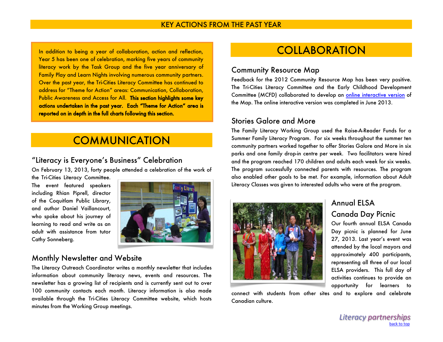<span id="page-5-0"></span>In addition to being a year of collaboration, action and reflection, Year 5 has been one of celebration, marking five years of community literacy work by the Task Group and the five year anniversary of Family Play and Learn Nights involving numerous community partners. Over the past year, the Tri-Cities Literacy Committee has continued to address for "Theme for Action" areas: Communication, Collaboration, Public Awareness and Access for All. This section highlights some key actions undertaken in the past year. Each "Theme for Action" area is reported on in depth in the full charts following this section.

## **COMMUNICATION**

### "Literacy is Everyone's Business" Celebration

On February 13, 2013, forty people attended a celebration of the work of

the Tri-Cities Literacy Committee. The event featured speakers including Rhian Piprell, director of the Coquitlam Public Library, and author Daniel Vaillancourt, who spoke about his journey of learning to read and write as an adult with assistance from tutor Cathy Sonneberg.



### Monthly Newsletter and Website

The Literacy Outreach Coordinator writes a monthly newsletter that includes information about community literacy news, events and resources. The newsletter has a growing list of recipients and is currently sent out to over 100 community contacts each month. Literacy information is also made available through the Tri-Cities Literacy Committee website, which hosts minutes from the Working Group meetings.

# **COLLABORATION**

#### Community Resource Map

Feedback for the 2012 Community Resource Map has been very positive. The Tri-Cities Literacy Committee and the Early Childhood Development Committee (MCFD) collaborated to develop an [online interactive version](http://www.tricitiesecd.ca/resources/community-resources/community-map) of the Map. The online interactive version was completed in June 2013.

### Stories Galore and More

The Family Literacy Working Group used the Raise-A-Reader Funds for a Summer Family Literacy Program. For six weeks throughout the summer ten community partners worked together to offer Stories Galore and More in six parks and one family drop-in centre per week. Two facilitators were hired and the program reached 170 children and adults each week for six weeks. The program successfully connected parents with resources. The program also enabled other goals to be met. For example, information about Adult Literacy Classes was given to interested adults who were at the program.



connect with students from other sites and to explore and celebrate Canadian culture.

### Annual ELSA Canada Day Picnic

Our fourth annual ELSA Canada Day picnic is planned for June 27, 2013. Last year's event was attended by the local mayors and approximately 400 participants, representing all three of our local ELSA providers. This full day of activities continues to provide an opportunity for learners to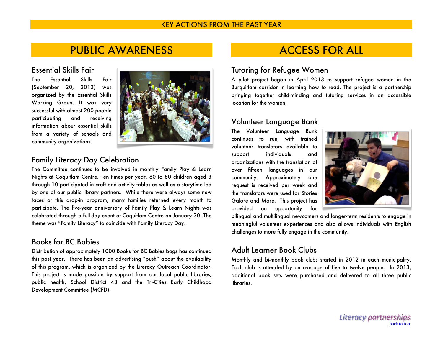#### KEY ACTIONS FROM THE PAST YEAR

### PUBLIC AWARENESS

#### Essential Skills Fair

The Essential Skills Fair (September 20, 2012) was organized by the Essential Skills Working Group. It was very successful with almost 200 people participating and receiving information about essential skills from a variety of schools and community organizations.



### Family Literacy Day Celebration

The Committee continues to be involved in monthly Family Play & Learn Nights at Coquitlam Centre. Ten times per year, 60 to 80 children aged 3 through 10 participated in craft and activity tables as well as a storytime led by one of our public library partners. While there were always some new faces at this drop-in program, many families returned every month to participate. The five-year anniversary of Family Play & Learn Nights was celebrated through a full-day event at Coquitlam Centre on January 30. The theme was "Family Literacy" to coincide with Family Literacy Day.

### Books for BC Babies

Distribution of approximately 1000 Books for BC Babies bags has continued this past year. There has been an advertising "push" about the availability of this program, which is organized by the Literacy Outreach Coordinator. This project is made possible by support from our local public libraries, public health, School District 43 and the Tri-Cities Early Childhood Development Committee (MCFD).

## ACCESS FOR ALL

#### Tutoring for Refugee Women

A pilot project began in April 2013 to support refugee women in the Burquitlam corridor in learning how to read. The project is a partnership bringing together child-minding and tutoring services in an accessible location for the women.

#### Volunteer Language Bank

The Volunteer Language Bank continues to run, with trained volunteer translators available to support individuals and organizations with the translation of over fifteen languages in our community. Approximately one request is received per week and the translators were used for Stories Galore and More. This project has provided an opportunity for



bilingual and multilingual newcomers and longer-term residents to engage in meaningful volunteer experiences and also allows individuals with English challenges to more fully engage in the community.

### Adult Learner Book Clubs

Monthly and bi-monthly book clubs started in 2012 in each municipality. Each club is attended by an average of five to twelve people. In 2013, additional book sets were purchased and delivered to all three public libraries.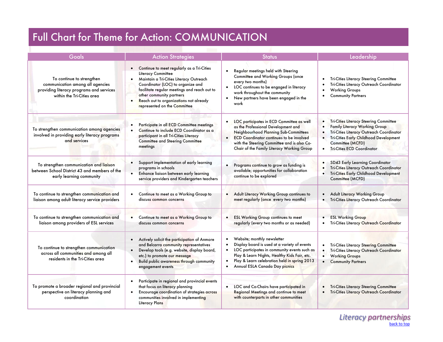# <span id="page-7-0"></span>Full Chart for Theme for Action: COMMUNICATION

| Goals                                                                                                                                   | <b>Action Strategies</b>                                                                                                                                                                                                                                                                                 | <b>Status</b>                                                                                                                                                                                                                                                             | Leadership                                                                                                                                                                                                                                                                               |
|-----------------------------------------------------------------------------------------------------------------------------------------|----------------------------------------------------------------------------------------------------------------------------------------------------------------------------------------------------------------------------------------------------------------------------------------------------------|---------------------------------------------------------------------------------------------------------------------------------------------------------------------------------------------------------------------------------------------------------------------------|------------------------------------------------------------------------------------------------------------------------------------------------------------------------------------------------------------------------------------------------------------------------------------------|
| To continue to strengthen<br>communication among all agencies<br>providing literacy programs and services<br>within the Tri-Cities area | • Continue to meet regularly as a Tri-Cities<br>Literacy Committee<br>Maintain a Tri-Cities Literacy Outreach<br>Coordinator (LOC) to organize and<br>facilitate regular meetings and reach out to<br>other community partners<br>Reach out to organizations not already<br>represented on the Committee | Regular meetings held with Steering<br>Committee and Working Groups (once<br>every two months)<br>LOC continues to be engaged in literacy<br>work throughout the community<br>New partners have been engaged in the<br>$\bullet$<br>work                                  | Tri-Cities Literacy Steering Committee<br>Tri-Cities Literacy Outreach Coordinator<br><b>Working Groups</b><br><b>Community Partners</b><br>$\bullet$                                                                                                                                    |
| To strengthen communication among agencies<br>involved in providing early literacy programs<br>and services                             | Participate in all ECD Committee meetings<br>Continue to include ECD Coordinator as a<br>$\bullet$<br>participant in all Tri-Cities Literacy<br><b>Committee and Steering Committee</b><br>meetings                                                                                                      | LOC participates in ECD Committee as well<br>as the Professional Development and<br>Neighbourhood Planning Sub-Committees<br><b>ECD Coordinator continues to be involved</b><br>with the Steering Committee and is also Co-<br>Chair of the Family Literacy Working Group | <b>Tri-Cities Literacy Steering Committee</b><br>$\bullet$<br><b>Family Literacy Working Group</b><br>$\bullet$<br>Tri-Cities Literacy Outreach Coordinator<br>Tri-Cities Early Childhood Development<br>$\bullet$<br>Committee (MCFD)<br><b>Tri-Cities ECD Coordinator</b><br>$\bullet$ |
| To strengthen communication and liaison<br>between School District 43 and members of the<br>early learning community                    | Support implementation of early learning<br>programs in schools<br>Enhance liaison between early learning<br>service providers and Kindergarten teachers                                                                                                                                                 | Programs continue to grow as funding is<br>available; opportunities for collaboration<br>continue to be explored                                                                                                                                                          | SD43 Early Learning Coordinator<br>Tri-Cities Literacy Outreach Coordinator<br><b>Tri-Cities Early Childhood Development</b><br>Committee (MCFD)                                                                                                                                         |
| To continue to strengthen communication and<br>liaison among adult literacy service providers                                           | Continue to meet as a Working Group to<br>$\bullet$<br>discuss common concerns                                                                                                                                                                                                                           | Adult Literacy Working Group continues to<br>meet regularly (once every two months)                                                                                                                                                                                       | Adult Literacy Working Group<br>Tri-Cities Literacy Outreach Coordinator<br>$\bullet$                                                                                                                                                                                                    |
| To continue to strengthen communication and<br>liaison among providers of ESL services                                                  | Continue to meet as a Working Group to<br>$\bullet$<br>discuss common concerns                                                                                                                                                                                                                           | <b>ESL Working Group continues to meet</b><br>regularly (every two months or as needed)                                                                                                                                                                                   | <b>ESL Working Group</b><br>Tri-Cities Literacy Outreach Coordinator                                                                                                                                                                                                                     |
| To continue to strengthen communication<br>across all communities and among all<br>residents in the Tri-Cities area                     | Actively solicit the participation of Anmore<br>$\bullet$<br>and Belcarra community representatives<br>Develop tools (e.g. website, display board,<br>etc.) to promote our message<br>Build public awareness through community<br>$\bullet$<br>engagement events                                         | Website; monthly newsletter<br>Display board is used at a variety of events<br>LOC participates in community events such as<br>Play & Learn Nights, Healthy Kids Fair, etc.<br>Play & Learn celebration held in spring 2013<br>Annual ESLA Canada Day picnics             | <b>Tri-Cities Literacy Steering Committee</b><br>Tri-Cities Literacy Outreach Coordinator<br><b>Working Groups</b><br>$\bullet$<br><b>Community Partners</b><br>$\bullet$                                                                                                                |
| To promote a broader regional and provincial<br>perspective on literacy planning and<br>coordination                                    | Participate in regional and provincial events<br>$\bullet$<br>that focus on literacy planning<br>Encourage coordination of strategies across<br>communities involved in implementing<br>Literacy Plans                                                                                                   | LOC and Co-Chairs have participated in<br>Regional Meetings and continue to meet<br>with counterparts in other communities                                                                                                                                                | <b>Tri-Cities Literacy Steering Committee</b><br>Tri-Cities Literacy Outreach Coordinator                                                                                                                                                                                                |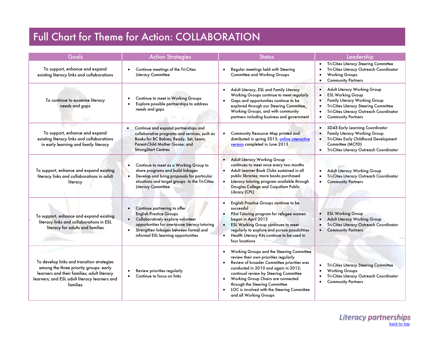# Full Chart for Theme for Action: COLLABORATION

| Goals                                                                                                                                                                                            | <b>Action Strategies</b>                                                                                                                                                                                                                                         | <b>Status</b>                                                                                                                                                                                                                                                                                                                                                                      | Leadership                                                                                                                                                                                                                                                       |
|--------------------------------------------------------------------------------------------------------------------------------------------------------------------------------------------------|------------------------------------------------------------------------------------------------------------------------------------------------------------------------------------------------------------------------------------------------------------------|------------------------------------------------------------------------------------------------------------------------------------------------------------------------------------------------------------------------------------------------------------------------------------------------------------------------------------------------------------------------------------|------------------------------------------------------------------------------------------------------------------------------------------------------------------------------------------------------------------------------------------------------------------|
| To support, enhance and expand<br>existing literacy links and collaborations                                                                                                                     | Continue meetings of the Tri-Cities<br>Literacy Committee                                                                                                                                                                                                        | Regular meetings held with Steering<br><b>Committee and Working Groups</b>                                                                                                                                                                                                                                                                                                         | Tri-Cities Literacy Steering Committee<br>Tri-Cities Literacy Outreach Coordinator<br><b>Working Groups</b><br>$\bullet$<br><b>Community Partners</b>                                                                                                            |
| To continue to examine literacy<br>needs and gaps                                                                                                                                                | Continue to meet in Working Groups<br>Explore possible partnerships to address<br>needs and gaps                                                                                                                                                                 | Adult Literacy, ESL and Family Literacy<br>Working Groups continue to meet regularly<br>Gaps and opportunities continue to be<br>explored through our Steering Committee,<br>Working Groups, and with community<br>partners including business and government                                                                                                                      | Adult Literacy Working Group<br><b>ESL Working Group</b><br>$\bullet$<br>Family Literacy Working Group<br>$\bullet$<br>Tri-Cities Literacy Steering Committee<br>$\bullet$<br>Tri-Cities Literacy Outreach Coordinator<br><b>Community Partners</b><br>$\bullet$ |
| To support, enhance and expand<br>existing literacy links and collaborations<br>in early learning and family literacy                                                                            | Continue and expand partnerships and<br>collaborative programs and services, such as<br>Books for BC Babies; Ready, Set, Learn;<br>Parent-Child Mother Goose; and<br><b>StrongStart Centres</b>                                                                  | Community Resource Map printed and<br>distributed in spring 2013; online interactive<br>version completed in June 2013                                                                                                                                                                                                                                                             | SD43 Early Learning Coordinator<br>$\bullet$<br>Family Literacy Working Group<br>Tri-Cities Early Childhood Development<br>$\bullet$<br>Committee (MCFD)<br>Tri-Cities Literacy Outreach Coordinator                                                             |
| To support, enhance and expand existing<br>literacy links and collaborations in adult<br>literacy                                                                                                | Continue to meet as a Working Group to<br>$\bullet$<br>share programs and build linkages<br>Develop and bring proposals for particular<br>$\bullet$<br>situations and target groups to the Tri-Cities<br>Literacy Committee                                      | • Adult Literacy Working Group<br>continues to meet once every two months<br>Adult Learner Book Clubs sustained in all<br>public libraries; more books purchased<br>• Literacy tutoring program available through<br>Douglas College and Coquitlam Public<br>Library (CPL)                                                                                                         | <b>Adult Literacy Working Group</b><br>Tri-Cities Literacy Outreach Coordinator<br>$\bullet$<br><b>Community Partners</b><br>$\bullet$                                                                                                                           |
| To support, enhance and expand existing<br>literacy links and collaborations in ESL<br>literacy for adults and families                                                                          | Continue partnering to offer<br><b>English Practice Groups</b><br>Collaboratively explore volunteer<br>$\bullet$<br>opportunities for one-to-one literacy tutoring<br>Strengthen linkages between formal and<br>$\bullet$<br>informal ESL learning opportunities | English Practice Groups continue to be<br>successful<br>Pilot Tutoring program for refugee women<br>began in April 2013<br><b>ESL Working Group continues to meet</b><br>regularly to explore and pursue possibilities<br>Health Literacy Kits continue to be used in<br>$\bullet$<br>four locations                                                                               | <b>ESL Working Group</b><br><b>Adult Literacy Working Group</b><br>Tri-Cities Literacy Outreach Coordinator<br><b>Community Partners</b><br>$\bullet$                                                                                                            |
| To develop links and transition strategies<br>among the three priority groups: early<br>learners and their families; adult literacy<br>learners; and ESL adult literacy learners and<br>families | Review priorities regularly<br>Continue to focus on links<br>$\bullet$                                                                                                                                                                                           | • Working Groups and the Steering Committee<br>review their own priorities regularly<br>Review of broader Committee priorities was<br>conducted in 2010 and again in 2012;<br>continual review by Steering Committee<br>Working Group Chairs are connected<br>$\bullet$<br>through the Steering Committee<br>LOC is involved with the Steering Committee<br>and all Working Groups | <b>Tri-Cities Literacy Steering Committee</b><br><b>Working Groups</b><br>Tri-Cities Literacy Outreach Coordinator<br>$\bullet$<br><b>Community Partners</b>                                                                                                     |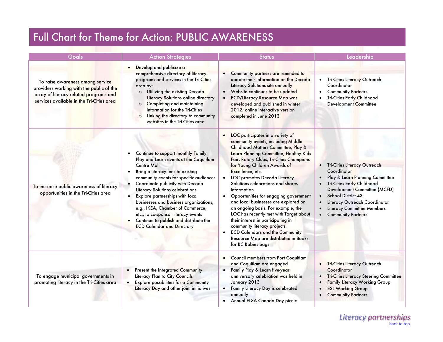# Full Chart for Theme for Action: PUBLIC AWARENESS

| Goals                                                                                                                                                               | <b>Action Strategies</b>                                                                                                                                                                                                                                                                                                                                                                                                                                                                         | <b>Status</b>                                                                                                                                                                                                                                                                                                                                                                                                                                                                                                                                                                                                                                                                                            | Leadership                                                                                                                                                                                                                                                                                                     |
|---------------------------------------------------------------------------------------------------------------------------------------------------------------------|--------------------------------------------------------------------------------------------------------------------------------------------------------------------------------------------------------------------------------------------------------------------------------------------------------------------------------------------------------------------------------------------------------------------------------------------------------------------------------------------------|----------------------------------------------------------------------------------------------------------------------------------------------------------------------------------------------------------------------------------------------------------------------------------------------------------------------------------------------------------------------------------------------------------------------------------------------------------------------------------------------------------------------------------------------------------------------------------------------------------------------------------------------------------------------------------------------------------|----------------------------------------------------------------------------------------------------------------------------------------------------------------------------------------------------------------------------------------------------------------------------------------------------------------|
| To raise awareness among service<br>providers working with the public of the<br>array of literacy-related programs and<br>services available in the Tri-Cities area | Develop and publicize a<br>comprehensive directory of literacy<br>programs and services in the Tri-Cities<br>area by:<br>O Utilizing the existing Decoda<br>Literacy Solutions online directory<br>O Completing and maintaining<br>information for the Tri-Cities<br>Linking the directory to community<br>$\circ$<br>websites in the Tri-Cities area                                                                                                                                            | Community partners are reminded to<br>update their information on the Decoda<br>Literacy Solutions site annually<br>Website continues to be updated<br><b>ECD/Literacy Resource Map was</b><br>developed and published in winter<br>2012; online interactive version<br>completed in June 2013                                                                                                                                                                                                                                                                                                                                                                                                           | · Tri-Cities Literacy Outreach<br>Coordinator<br><b>Community Partners</b><br>$\bullet$<br>Tri-Cities Early Childhood<br>Development Committee                                                                                                                                                                 |
| To increase public awareness of literacy<br>opportunities in the Tri-Cities area                                                                                    | Continue to support monthly Family<br>Play and Learn events at the Coquitlam<br><b>Centre Mall</b><br>Bring a literacy lens to existing<br>community events for specific audiences<br>Coordinate publicity with Decoda<br>Literacy Solutions celebrations<br>Explore partnerships with local<br>businesses and business organizations,<br>e.g., IKEA, Chamber of Commerce,<br>etc., to co-sponsor literacy events<br>Continue to publish and distribute the<br><b>ECD Calendar and Directory</b> | LOC participates in a variety of<br>community events, including Middle<br>Childhood Matters Committee, Play &<br>Learn Planning Committee, Healthy Kids<br>Fair, Rotary Clubs, Tri-Cities Champions<br>for Young Children Awards of<br>Excellence, etc.<br>LOC promotes Decoda Literacy<br>Solutions celebrations and shares<br>information<br>Opportunities for engaging government<br>$\bullet$<br>and local businesses are explored on<br>an ongoing basis. For example, the<br>LOC has recently met with Target about<br>their interest in participating in<br>community literacy projects.<br><b>ECD Calendars and the Community</b><br>Resource Map are distributed in Books<br>for BC Babies bags | · Tri-Cities Literacy Outreach<br>Coordinator<br>Play & Learn Planning Committee<br>Tri-Cities Early Childhood<br>$\bullet$<br>Development Committee (MCFD)<br>School District 43<br>$\bullet$<br>Literacy Outreach Coordinator<br><b>Literacy Committee Members</b><br><b>Community Partners</b><br>$\bullet$ |
| To engage municipal governments in<br>promoting literacy in the Tri-Cities area                                                                                     | Present the Integrated Community<br>Literacy Plan to City Councils<br><b>Explore possibilities for a Community</b><br>$\bullet$<br>Literacy Day and other joint initiatives                                                                                                                                                                                                                                                                                                                      | <b>Council members from Port Coquitlam</b><br>and Coquitlam are engaged<br>Family Play & Learn five-year<br>$\bullet$<br>anniversary celebration was held in<br>January 2013<br>• Family Literacy Day is celebrated<br>annually<br>Annual ELSA Canada Day picnic                                                                                                                                                                                                                                                                                                                                                                                                                                         | · Tri-Cities Literacy Outreach<br>Coordinator<br><b>Tri-Cities Literacy Steering Committee</b><br><b>Family Literacy Working Group</b><br><b>ESL Working Group</b><br>$\bullet$<br><b>Community Partners</b><br>$\bullet$                                                                                      |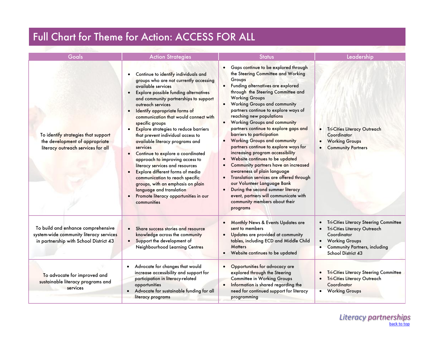|  |  |  | Full Chart for Theme for Action: ACCESS FOR ALL |
|--|--|--|-------------------------------------------------|
|--|--|--|-------------------------------------------------|

| Goals                                                                                                                   | <b>Action Strategies</b>                                                                                                                                                                                                                                                                                                                                                                                                                                                                                                                                                                                                                                                                                                                                             | <b>Status</b>                                                                                                                                                                                                                                                                                                                                                                                                                                                                                                                                                                                                                                                                                                                                                                                                                                                                  | Leadership                                                                                                                                                                                |
|-------------------------------------------------------------------------------------------------------------------------|----------------------------------------------------------------------------------------------------------------------------------------------------------------------------------------------------------------------------------------------------------------------------------------------------------------------------------------------------------------------------------------------------------------------------------------------------------------------------------------------------------------------------------------------------------------------------------------------------------------------------------------------------------------------------------------------------------------------------------------------------------------------|--------------------------------------------------------------------------------------------------------------------------------------------------------------------------------------------------------------------------------------------------------------------------------------------------------------------------------------------------------------------------------------------------------------------------------------------------------------------------------------------------------------------------------------------------------------------------------------------------------------------------------------------------------------------------------------------------------------------------------------------------------------------------------------------------------------------------------------------------------------------------------|-------------------------------------------------------------------------------------------------------------------------------------------------------------------------------------------|
| To identify strategies that support<br>the development of appropriate<br>literacy outreach services for all             | Continue to identify individuals and<br>groups who are not currently accessing<br>available services<br><b>Explore possible funding alternatives</b><br>and community partnerships to support<br>outreach services<br>Identify appropriate forms of<br>$\bullet$<br>communication that would connect with<br>specific groups<br>Explore strategies to reduce barriers<br>that prevent individual access to<br>available literacy programs and<br>services<br>Continue to explore a coordinated<br>approach to improving access to<br>literacy services and resources<br>Explore different forms of media<br>communication to reach specific<br>groups, with an emphasis on plain<br>language and translation<br>Promote literacy opportunities in our<br>communities | Gaps continue to be explored through<br>the Steering Committee and Working<br>Groups<br>Funding alternatives are explored<br>through the Steering Committee and<br><b>Working Groups</b><br><b>Working Groups and community</b><br>$\bullet$<br>partners continue to explore ways of<br>reaching new populations<br><b>Working Groups and community</b><br>partners continue to explore gaps and<br>barriers to participation<br><b>Working Groups and community</b><br>partners continue to explore ways for<br>increasing program accessibility<br>Website continues to be updated<br>$\bullet$<br>Community partners have an increased<br>awareness of plain language<br>Translation services are offered through<br>our Volunteer Language Bank<br>During the second summer literacy<br>event, partners will communicate with<br>community members about their<br>programs | Tri-Cities Literacy Outreach<br>$\bullet$<br>Coordinator<br><b>Working Groups</b><br><b>Community Partners</b>                                                                            |
| To build and enhance comprehensive<br>system-wide community literacy services<br>in partnership with School District 43 | Share success stories and resource<br>knowledge across the community<br>Support the development of<br>Neighbourhood Learning Centres                                                                                                                                                                                                                                                                                                                                                                                                                                                                                                                                                                                                                                 | Monthly News & Events Updates are<br>$\bullet$<br>sent to members<br>Updates are provided at community<br>tables, including ECD and Middle Child<br><b>Matters</b><br>• Website continues to be updated                                                                                                                                                                                                                                                                                                                                                                                                                                                                                                                                                                                                                                                                        | Tri-Cities Literacy Steering Committee<br>Tri-Cities Literacy Outreach<br>Coordinator<br><b>Working Groups</b><br>$\bullet$<br><b>Community Partners, including</b><br>School District 43 |
| To advocate for improved and<br>sustainable literacy programs and<br>services                                           | Advocate for changes that would<br>$\bullet$<br>increase accessibility and support for<br>participation in literacy-related<br>opportunities<br>Advocate for sustainable funding for all<br>literacy programs                                                                                                                                                                                                                                                                                                                                                                                                                                                                                                                                                        | Opportunities for advocacy are<br>explored through the Steering<br><b>Committee in Working Groups</b><br>Information is shared regarding the<br>need for continued support for literacy<br>programming                                                                                                                                                                                                                                                                                                                                                                                                                                                                                                                                                                                                                                                                         | Tri-Cities Literacy Steering Committee<br><b>Tri-Cities Literacy Outreach</b><br>$\bullet$<br>Coordinator<br>• Working Groups                                                             |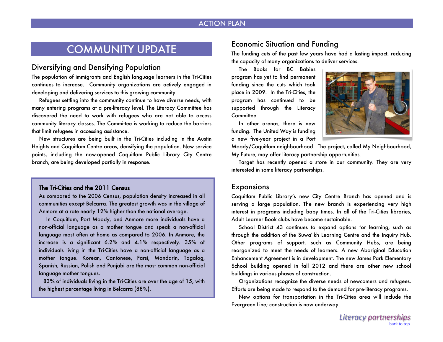#### ACTION PLAN

## COMMUNITY UPDATE

#### <span id="page-11-0"></span>Diversifying and Densifying Population

The population of immigrants and English language learners in the Tri-Cities continues to increase. Community organizations are actively engaged in developing and delivering services to this growing community.

 Refugees settling into the community continue to have diverse needs, with many entering programs at a pre-literacy level. The Literacy Committee has discovered the need to work with refugees who are not able to access community literacy classes. The Committee is working to reduce the barriers that limit refugees in accessing assistance.

 New structures are being built in the Tri-Cities including in the Austin Heights and Coquitlam Centre areas, densifying the population. New service points, including the now-opened Coquitlam Public Library City Centre branch, are being developed partially in response.

#### The Tri-Cities and the 2011 Census

As compared to the 2006 Census, population density increased in all communities except Belcarra. The greatest growth was in the village of Anmore at a rate nearly 12% higher than the national average.

 In Coquitlam, Port Moody, and Anmore more individuals have a non-official language as a mother tongue and speak a non-official language most often at home as compared to 2006. In Anmore, the increase is a significant 6.2% and 4.1% respectively. 35% of individuals living in the Tri-Cities have a non-official language as a mother tongue. Korean, Cantonese, Farsi, Mandarin, Tagalog, Spanish, Russian, Polish and Punjabi are the most common non-official language mother tongues.

 83% of individuals living in the Tri-Cities are over the age of 15, with the highest percentage living in Belcarra (88%).

### Economic Situation and Funding

The funding cuts of the past few years have had a lasting impact, reducing the capacity of many organizations to deliver services.

 The Books for BC Babies program has yet to find permanent funding since the cuts which took place in 2009. In the Tri-Cities, the program has continued to be supported through the Literacy Committee.

 In other arenas, there is new funding. The United Way is funding a new five-year project in a Port



Moody/Coquitlam neighbourhood. The project, called My Neighbourhood, My Future, may offer literacy partnership opportunities.

 Target has recently opened a store in our community. They are very interested in some literacy partnerships.

#### **Expansions**

Coquitlam Public Library's new City Centre Branch has opened and is serving a large population. The new branch is experiencing very high interest in programs including baby times. In all of the Tri-Cities libraries, Adult Learner Book clubs have become sustainable.

 School District 43 continues to expand options for learning, such as through the addition of the Suwa'lkh Learning Centre and the Inquiry Hub. Other programs of support, such as Community Hubs, are being reorganized to meet the needs of learners. A new Aboriginal Education Enhancement Agreement is in development. The new James Park Elementary School building opened in fall 2012 and there are other new school buildings in various phases of construction.

 Organizations recognize the diverse needs of newcomers and refugees. Efforts are being made to respond to the demand for pre-literacy programs.

 New options for transportation in the Tri-Cities area will include the Evergreen Line; construction is now underway.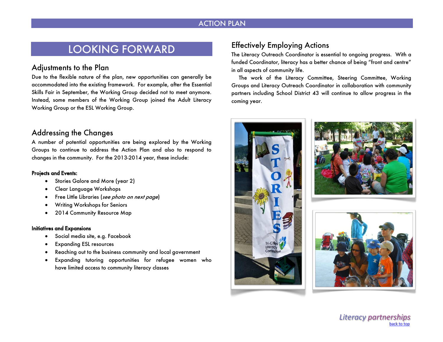### ACTION PLAN

## <span id="page-12-0"></span>LOOKING FORWARD

#### Adjustments to the Plan

Due to the flexible nature of the plan, new opportunities can generally be accommodated into the existing framework. For example, after the Essential Skills Fair in September, the Working Group decided not to meet anymore. Instead, some members of the Working Group joined the Adult Literacy Working Group or the ESL Working Group.

### Addressing the Changes

A number of potential opportunities are being explored by the Working Groups to continue to address the Action Plan and also to respond to changes in the community. For the 2013-2014 year, these include:

#### Projects and Events:

- Stories Galore and More (year 2)
- Clear Language Workshops
- Free Little Libraries (see photo on next page)
- Writing Workshops for Seniors
- 2014 Community Resource Map

#### Initiatives and Expansions

- Social media site, e.g. Facebook
- Expanding ESL resources
- Reaching out to the business community and local government
- Expanding tutoring opportunities for refugee women who have limited access to community literacy classes

### <span id="page-12-1"></span>Effectively Employing Actions

The Literacy Outreach Coordinator is essential to ongoing progress. With a funded Coordinator, literacy has a better chance of being "front and centre" in all aspects of community life.

 The work of the Literacy Committee, Steering Committee, Working Groups and Literacy Outreach Coordinator in collaboration with community partners including School District 43 will continue to allow progress in the coming year.





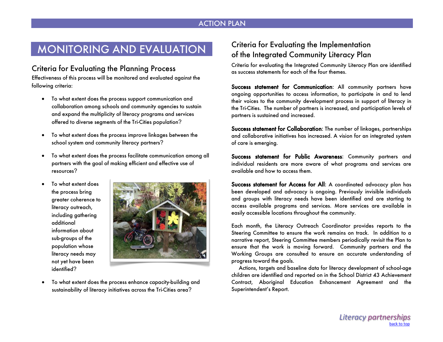#### ACTION PLAN

# <span id="page-13-0"></span>MONITORING AND EVALUATION

### Criteria for Evaluating the Planning Process

Effectiveness of this process will be monitored and evaluated against the following criteria:

- To what extent does the process support communication and collaboration among schools and community agencies to sustain and expand the multiplicity of literacy programs and services offered to diverse segments of the Tri-Cities population?
- To what extent does the process improve linkages between the school system and community literacy partners?
- To what extent does the process facilitate communication among all partners with the goal of making efficient and effective use of resources?
- To what extent does the process bring greater coherence to literacy outreach, including gathering additional information about sub-groups of the population whose literacy needs may not yet have been identified?



 To what extent does the process enhance capacity-building and sustainability of literacy initiatives across the Tri-Cities area?

### Criteria for Evaluating the Implementation of the Integrated Community Literacy Plan

Criteria for evaluating the Integrated Community Literacy Plan are identified as success statements for each of the four themes.

Success statement for Communication: All community partners have ongoing opportunities to access information, to participate in and to lend their voices to the community development process in support of literacy in the Tri-Cities. The number of partners is increased, and participation levels of partners is sustained and increased.

Success statement for Collaboration: The number of linkages, partnerships and collaborative initiatives has increased. A vision for an integrated system of care is emerging.

Success statement for Public Awareness: Community partners and individual residents are more aware of what programs and services are available and how to access them.

Success statement for Access for All: A coordinated advocacy plan has been developed and advocacy is ongoing. Previously invisible individuals and groups with literacy needs have been identified and are starting to access available programs and services. More services are available in easily accessible locations throughout the community.

Each month, the Literacy Outreach Coordinator provides reports to the Steering Committee to ensure the work remains on track. In addition to a narrative report, Steering Committee members periodically revisit the Plan to ensure that the work is moving forward. Community partners and the Working Groups are consulted to ensure an accurate understanding of progress toward the goals.

 Actions, targets and baseline data for literacy development of school-age children are identified and reported on in the School District 43 Achievement Contract, Aboriginal Education Enhancement Agreement and the Superintendent's Report.